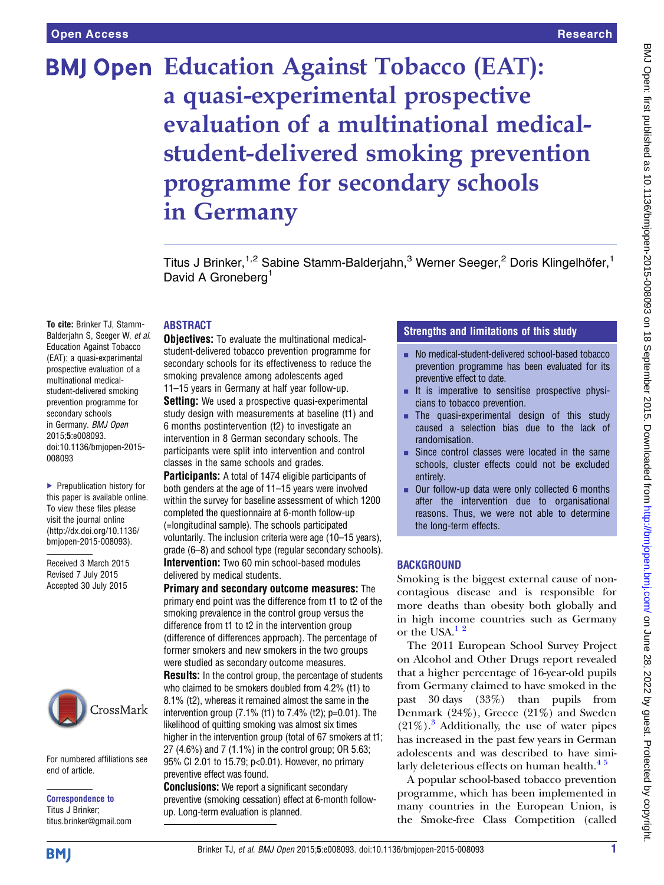# **BMJ Open Education Against Tobacco (EAT):** a quasi-experimental prospective evaluation of a multinational medicalstudent-delivered smoking prevention programme for secondary schools in Germany

Titus J Brinker,<sup>1,2</sup> Sabine Stamm-Balderjahn,<sup>3</sup> Werner Seeger,<sup>2</sup> Doris Klingelhöfer,<sup>1</sup> David A Groneberg<sup>1</sup>

#### ABSTRACT

To cite: Brinker TJ, Stamm-Balderjahn S, Seeger W, et al. Education Against Tobacco (EAT): a quasi-experimental prospective evaluation of a multinational medicalstudent-delivered smoking prevention programme for secondary schools in Germany. BMJ Open 2015;5:e008093. doi:10.1136/bmjopen-2015- 008093

▶ Prepublication history for this paper is available online. To view these files please visit the journal online [\(http://dx.doi.org/10.1136/](http://dx.doi.org/10.1136/bmjopen-2015-008093) [bmjopen-2015-008093](http://dx.doi.org/10.1136/bmjopen-2015-008093)).

Received 3 March 2015 Revised 7 July 2015 Accepted 30 July 2015



For numbered affiliations see end of article.

Correspondence to Titus J Brinker; titus.brinker@gmail.com **Objectives:** To evaluate the multinational medicalstudent-delivered tobacco prevention programme for secondary schools for its effectiveness to reduce the smoking prevalence among adolescents aged 11–15 years in Germany at half year follow-up.

**Setting:** We used a prospective quasi-experimental study design with measurements at baseline (t1) and 6 months postintervention (t2) to investigate an intervention in 8 German secondary schools. The participants were split into intervention and control classes in the same schools and grades.

Participants: A total of 1474 eligible participants of both genders at the age of 11–15 years were involved within the survey for baseline assessment of which 1200 completed the questionnaire at 6-month follow-up (=longitudinal sample). The schools participated voluntarily. The inclusion criteria were age (10–15 years), grade (6–8) and school type (regular secondary schools). Intervention: Two 60 min school-based modules delivered by medical students.

Primary and secondary outcome measures: The primary end point was the difference from t1 to t2 of the smoking prevalence in the control group versus the difference from t1 to t2 in the intervention group (difference of differences approach). The percentage of former smokers and new smokers in the two groups were studied as secondary outcome measures. Results: In the control group, the percentage of students who claimed to be smokers doubled from 4.2% (t1) to 8.1% (t2), whereas it remained almost the same in the intervention group (7.1% (t1) to 7.4% (t2); p=0.01). The likelihood of quitting smoking was almost six times higher in the intervention group (total of 67 smokers at t1; 27 (4.6%) and 7 (1.1%) in the control group; OR 5.63; 95% CI 2.01 to 15.79; p<0.01). However, no primary preventive effect was found.

**Conclusions:** We report a significant secondary preventive (smoking cessation) effect at 6-month followup. Long-term evaluation is planned.

### Strengths and limitations of this study

- No medical-student-delivered school-based tobacco prevention programme has been evaluated for its preventive effect to date.
- $\blacksquare$  It is imperative to sensitise prospective physicians to tobacco prevention.
- $\blacksquare$  The quasi-experimental design of this study caused a selection bias due to the lack of randomisation.
- $\blacksquare$  Since control classes were located in the same schools, cluster effects could not be excluded entirely.
- Our follow-up data were only collected 6 months after the intervention due to organisational reasons. Thus, we were not able to determine the long-term effects.

#### **BACKGROUND**

Smoking is the biggest external cause of noncontagious disease and is responsible for more deaths than obesity both globally and in high income countries such as Germany or the USA. $12$ 

The 2011 European School Survey Project on Alcohol and Other Drugs report revealed that a higher percentage of 16-year-old pupils from Germany claimed to have smoked in the past 30 days (33%) than pupils from Denmark (24%), Greece (21%) and Sweden  $(21\%)$ .<sup>[3](#page-5-0)</sup> Additionally, the use of water pipes has increased in the past few years in German adolescents and was described to have simi-larly deleterious effects on human health.<sup>[4](#page-5-0)5</sup>

A popular school-based tobacco prevention programme, which has been implemented in many countries in the European Union, is the Smoke-free Class Competition (called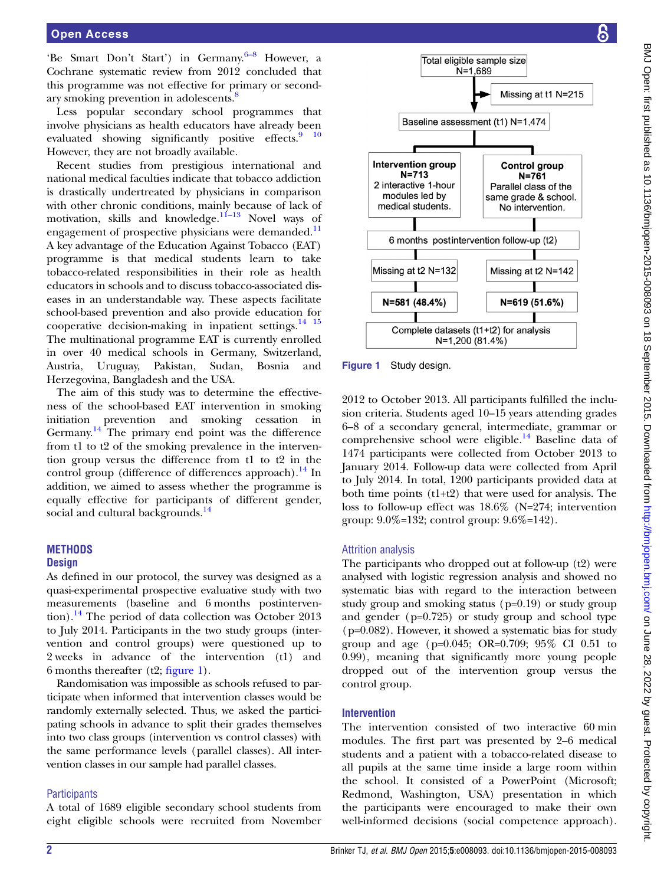# <span id="page-1-0"></span>Open Access

'Be Smart Don't Start') in Germany.  $6-8$  $6-8$  However, a Cochrane systematic review from 2012 concluded that this programme was not effective for primary or second-ary smoking prevention in adolescents.<sup>[8](#page-6-0)</sup>

Less popular secondary school programmes that involve physicians as health educators have already been evaluated showing significantly positive effects.<sup>9</sup> <sup>10</sup> However, they are not broadly available.

Recent studies from prestigious international and national medical faculties indicate that tobacco addiction is drastically undertreated by physicians in comparison with other chronic conditions, mainly because of lack of motivation, skills and knowledge. $11-13$  $11-13$  Novel ways of engagement of prospective physicians were demanded.<sup>[11](#page-6-0)</sup> A key advantage of the Education Against Tobacco (EAT) programme is that medical students learn to take tobacco-related responsibilities in their role as health educators in schools and to discuss tobacco-associated diseases in an understandable way. These aspects facilitate school-based prevention and also provide education for cooperative decision-making in inpatient settings. $14 \frac{15}{15}$ The multinational programme EAT is currently enrolled in over 40 medical schools in Germany, Switzerland, Austria, Uruguay, Pakistan, Sudan, Bosnia and Herzegovina, Bangladesh and the USA.

The aim of this study was to determine the effectiveness of the school-based EAT intervention in smoking initiation prevention and smoking cessation in Germany.<sup>14</sup> The primary end point was the difference from t1 to t2 of the smoking prevalence in the intervention group versus the difference from t1 to t2 in the control group (difference of differences approach).<sup>[14](#page-6-0)</sup> In addition, we aimed to assess whether the programme is equally effective for participants of different gender, social and cultural backgrounds.<sup>[14](#page-6-0)</sup>

#### **MFTHODS Design**

As defined in our protocol, the survey was designed as a quasi-experimental prospective evaluative study with two measurements (baseline and 6 months postinterven-tion).<sup>[14](#page-6-0)</sup> The period of data collection was October 2013 to July 2014. Participants in the two study groups (intervention and control groups) were questioned up to 2 weeks in advance of the intervention (t1) and 6 months thereafter  $(t2; \text{ figure 1}).$ 

Randomisation was impossible as schools refused to participate when informed that intervention classes would be randomly externally selected. Thus, we asked the participating schools in advance to split their grades themselves into two class groups (intervention vs control classes) with the same performance levels (parallel classes). All intervention classes in our sample had parallel classes.

#### **Participants**

A total of 1689 eligible secondary school students from eight eligible schools were recruited from November



Figure 1 Study design.

2012 to October 2013. All participants fulfilled the inclusion criteria. Students aged 10–15 years attending grades 6–8 of a secondary general, intermediate, grammar or comprehensive school were eligible. $14$  Baseline data of 1474 participants were collected from October 2013 to January 2014. Follow-up data were collected from April to July 2014. In total, 1200 participants provided data at both time points (t1+t2) that were used for analysis. The loss to follow-up effect was 18.6% (N=274; intervention group: 9.0%=132; control group: 9.6%=142).

#### Attrition analysis

The participants who dropped out at follow-up (t2) were analysed with logistic regression analysis and showed no systematic bias with regard to the interaction between study group and smoking status (p=0.19) or study group and gender (p=0.725) or study group and school type (p=0.082). However, it showed a systematic bias for study group and age (p=0.045; OR=0.709; 95% CI 0.51 to 0.99), meaning that significantly more young people dropped out of the intervention group versus the control group.

#### Intervention

The intervention consisted of two interactive 60 min modules. The first part was presented by 2–6 medical students and a patient with a tobacco-related disease to all pupils at the same time inside a large room within the school. It consisted of a PowerPoint (Microsoft; Redmond, Washington, USA) presentation in which the participants were encouraged to make their own well-informed decisions (social competence approach).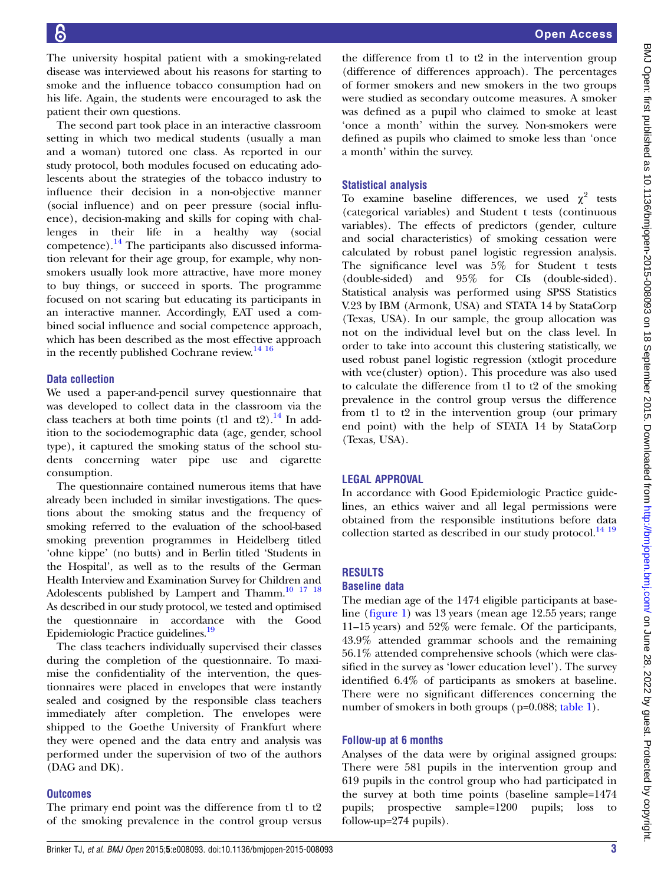The university hospital patient with a smoking-related disease was interviewed about his reasons for starting to smoke and the influence tobacco consumption had on his life. Again, the students were encouraged to ask the patient their own questions.

The second part took place in an interactive classroom setting in which two medical students (usually a man and a woman) tutored one class. As reported in our study protocol, both modules focused on educating adolescents about the strategies of the tobacco industry to influence their decision in a non-objective manner (social influence) and on peer pressure (social influence), decision-making and skills for coping with challenges in their life in a healthy way (social competence). $^{14}$  $^{14}$  $^{14}$  The participants also discussed information relevant for their age group, for example, why nonsmokers usually look more attractive, have more money to buy things, or succeed in sports. The programme focused on not scaring but educating its participants in an interactive manner. Accordingly, EAT used a combined social influence and social competence approach, which has been described as the most effective approach in the recently published Cochrane review. $^{14}$  16

#### Data collection

We used a paper-and-pencil survey questionnaire that was developed to collect data in the classroom via the class teachers at both time points (t1 and t2).<sup>[14](#page-6-0)</sup> In addition to the sociodemographic data (age, gender, school type), it captured the smoking status of the school students concerning water pipe use and cigarette consumption.

The questionnaire contained numerous items that have already been included in similar investigations. The questions about the smoking status and the frequency of smoking referred to the evaluation of the school-based smoking prevention programmes in Heidelberg titled 'ohne kippe' (no butts) and in Berlin titled 'Students in the Hospital', as well as to the results of the German Health Interview and Examination Survey for Children and Adolescents published by Lampert and Thamm. $10^{-17}$  18 As described in our study protocol, we tested and optimised the questionnaire in accordance with the Good Epidemiologic Practice guidelines[.19](#page-6-0)

The class teachers individually supervised their classes during the completion of the questionnaire. To maximise the confidentiality of the intervention, the questionnaires were placed in envelopes that were instantly sealed and cosigned by the responsible class teachers immediately after completion. The envelopes were shipped to the Goethe University of Frankfurt where they were opened and the data entry and analysis was performed under the supervision of two of the authors (DAG and DK).

#### **Outcomes**

The primary end point was the difference from t1 to t2 of the smoking prevalence in the control group versus

the difference from t1 to t2 in the intervention group (difference of differences approach). The percentages of former smokers and new smokers in the two groups were studied as secondary outcome measures. A smoker was defined as a pupil who claimed to smoke at least 'once a month' within the survey. Non-smokers were defined as pupils who claimed to smoke less than 'once a month' within the survey.

#### Statistical analysis

To examine baseline differences, we used  $\chi^2$  tests (categorical variables) and Student t tests (continuous variables). The effects of predictors (gender, culture and social characteristics) of smoking cessation were calculated by robust panel logistic regression analysis. The significance level was 5% for Student t tests (double-sided) and 95% for CIs (double-sided). Statistical analysis was performed using SPSS Statistics V.23 by IBM (Armonk, USA) and STATA 14 by StataCorp (Texas, USA). In our sample, the group allocation was not on the individual level but on the class level. In order to take into account this clustering statistically, we used robust panel logistic regression (xtlogit procedure with vce(cluster) option). This procedure was also used to calculate the difference from t1 to t2 of the smoking prevalence in the control group versus the difference from t1 to t2 in the intervention group (our primary end point) with the help of STATA 14 by StataCorp (Texas, USA).

#### LEGAL APPROVAL

In accordance with Good Epidemiologic Practice guidelines, an ethics waiver and all legal permissions were obtained from the responsible institutions before data collection started as described in our study protocol.<sup>[14 19](#page-6-0)</sup>

### RESULTS

#### Baseline data

The median age of the 1474 eligible participants at baseline (fi[gure 1](#page-1-0)) was 13 years (mean age 12.55 years; range 11–15 years) and 52% were female. Of the participants, 43.9% attended grammar schools and the remaining 56.1% attended comprehensive schools (which were classified in the survey as 'lower education level'). The survey identified 6.4% of participants as smokers at baseline. There were no significant differences concerning the number of smokers in both groups (p=0.088; [table 1](#page-3-0)).

#### Follow-up at 6 months

Analyses of the data were by original assigned groups: There were 581 pupils in the intervention group and 619 pupils in the control group who had participated in the survey at both time points (baseline sample=1474 pupils; prospective sample=1200 pupils; loss to follow-up=274 pupils).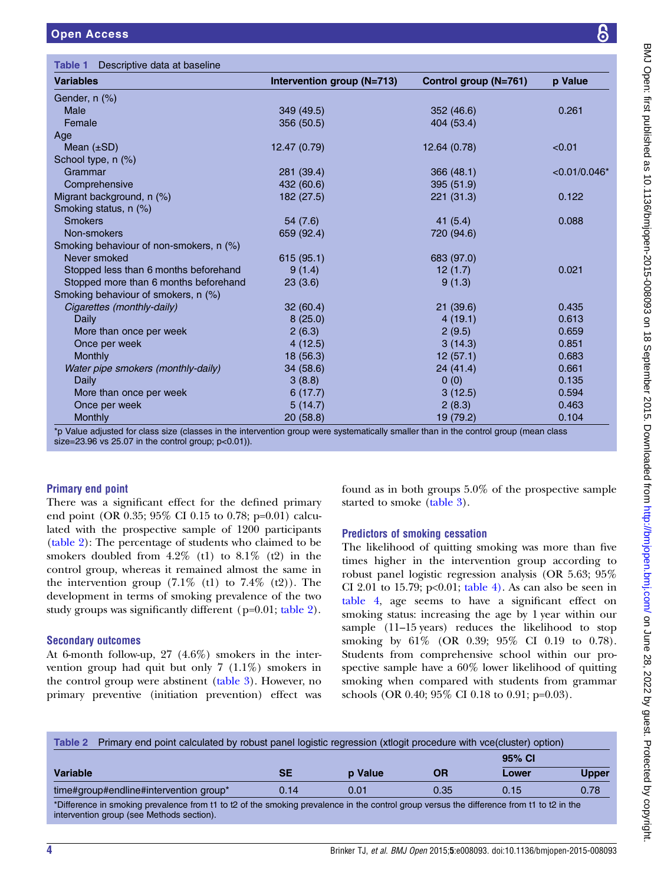<span id="page-3-0"></span>

| <b>Open Access</b>                      |                            |                       | 6              |  |  |  |
|-----------------------------------------|----------------------------|-----------------------|----------------|--|--|--|
| Table 1<br>Descriptive data at baseline |                            |                       |                |  |  |  |
| <b>Variables</b>                        | Intervention group (N=713) | Control group (N=761) | p Value        |  |  |  |
| Gender, n (%)                           |                            |                       |                |  |  |  |
| <b>Male</b>                             | 349 (49.5)                 | 352 (46.6)            | 0.261          |  |  |  |
| Female                                  | 356 (50.5)                 | 404 (53.4)            |                |  |  |  |
| Age                                     |                            |                       |                |  |  |  |
| Mean $(\pm SD)$                         | 12.47 (0.79)               | 12.64 (0.78)          | < 0.01         |  |  |  |
| School type, n (%)                      |                            |                       |                |  |  |  |
| Grammar                                 | 281 (39.4)                 | 366(48.1)             | $<0.01/0.046*$ |  |  |  |
| Comprehensive                           | 432 (60.6)                 | 395 (51.9)            |                |  |  |  |
| Migrant background, n (%)               | 182 (27.5)                 | 221 (31.3)            | 0.122          |  |  |  |
| Smoking status, n (%)                   |                            |                       |                |  |  |  |
| <b>Smokers</b>                          | 54 (7.6)                   | 41(5.4)               | 0.088          |  |  |  |
| Non-smokers                             | 659 (92.4)                 | 720 (94.6)            |                |  |  |  |
| Smoking behaviour of non-smokers, n (%) |                            |                       |                |  |  |  |
| Never smoked                            | 615(95.1)                  | 683 (97.0)            |                |  |  |  |
| Stopped less than 6 months beforehand   | 9(1.4)                     | 12(1.7)               | 0.021          |  |  |  |
| Stopped more than 6 months beforehand   | 23(3.6)                    | 9(1.3)                |                |  |  |  |
| Smoking behaviour of smokers, n (%)     |                            |                       |                |  |  |  |

Cigarettes (monthly-daily) 32 (60.4) 21 (39.6) 0.435 Daily 8 (25.0) 4 (19.1) 0.613 More than once per week 2 (6.3) 2 (9.5) 0.659 Once per week 2.6 (12.5) 3 (14.3) 0.851 Monthly 18 (56.3) 12 (57.1) 0.683 Water pipe smokers (monthly-daily)  $34(58.6)$   $24(41.4)$   $0.661$ Daily 3 (8.8) 0 (0) 0.135  $\,$  0.135  $\,$ More than once per week  $6(17.7)$   $3(12.5)$   $3(12.5)$   $0.594$ Once per week 5 (14.7) 2 (8.3) 0.463

Monthly 20 (58.8) 19 (79.2) 0.104 \*p Value adjusted for class size (classes in the intervention group were systematically smaller than in the control group (mean class size= $23.96$  vs  $25.07$  in the control group;  $p < 0.01$ )).

#### Primary end point

There was a significant effect for the defined primary end point (OR 0.35; 95% CI 0.15 to 0.78; p=0.01) calculated with the prospective sample of 1200 participants (table 2): The percentage of students who claimed to be smokers doubled from  $4.2\%$  (t1) to  $8.1\%$  (t2) in the control group, whereas it remained almost the same in the intervention group  $(7.1\% \text{ (t1) to } 7.4\% \text{ (t2)})$ . The development in terms of smoking prevalence of the two study groups was significantly different (p=0.01; table 2).

#### Secondary outcomes

At 6-month follow-up, 27 (4.6%) smokers in the intervention group had quit but only 7 (1.1%) smokers in the control group were abstinent [\(table 3](#page-4-0)). However, no primary preventive (initiation prevention) effect was found as in both groups 5.0% of the prospective sample started to smoke ([table 3\)](#page-4-0).

#### Predictors of smoking cessation

The likelihood of quitting smoking was more than five times higher in the intervention group according to robust panel logistic regression analysis (OR 5.63; 95% CI 2.01 to 15.79;  $p<0.01$ ; [table 4\).](#page-4-0) As can also be seen in [table 4](#page-4-0), age seems to have a significant effect on smoking status: increasing the age by 1 year within our sample (11–15 years) reduces the likelihood to stop smoking by 61% (OR 0.39; 95% CI 0.19 to 0.78). Students from comprehensive school within our prospective sample have a 60% lower likelihood of quitting smoking when compared with students from grammar schools (OR 0.40; 95% CI 0.18 to 0.91; p=0.03).

| Table 2<br>Primary end point calculated by robust panel logistic regression (xtlogit procedure with vce(cluster) option)                                                               |      |         |      |        |              |
|----------------------------------------------------------------------------------------------------------------------------------------------------------------------------------------|------|---------|------|--------|--------------|
|                                                                                                                                                                                        |      |         |      | 95% CI |              |
| <b>Variable</b>                                                                                                                                                                        | SЕ   | p Value | OR   | Lower  | <b>Upper</b> |
| time#group#endline#intervention group*                                                                                                                                                 | 0.14 | 0.01    | 0.35 | 0.15   | 0.78         |
| *Difference in smoking prevalence from t1 to t2 of the smoking prevalence in the control group versus the difference from t1 to t2 in the<br>intervention group (see Methods section). |      |         |      |        |              |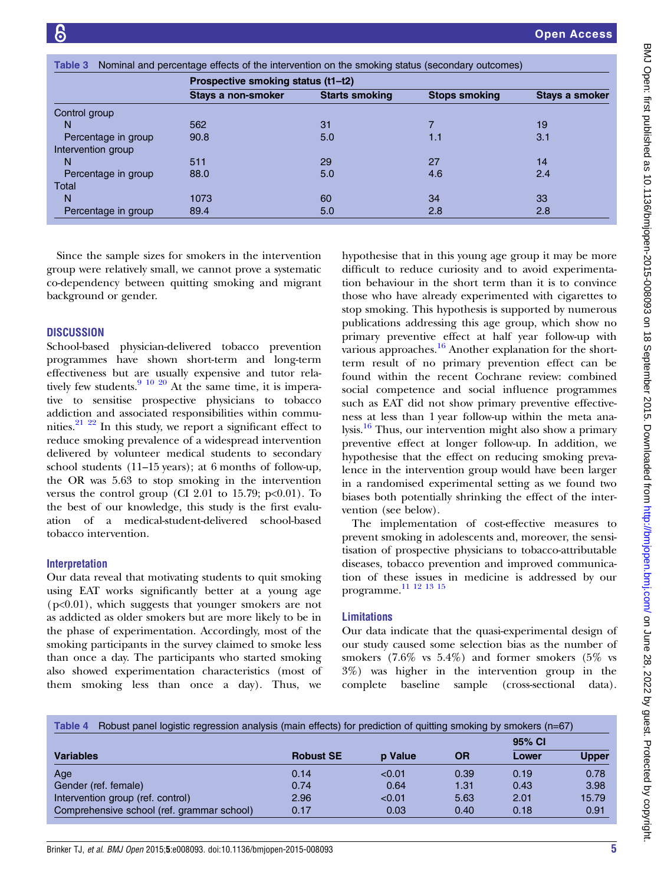<span id="page-4-0"></span>

| Table 3             | Nominal and percentage effects of the intervention on the smoking status (secondary outcomes) |                                    |                      |                       |  |  |
|---------------------|-----------------------------------------------------------------------------------------------|------------------------------------|----------------------|-----------------------|--|--|
|                     |                                                                                               | Prospective smoking status (t1-t2) |                      |                       |  |  |
|                     | Stays a non-smoker                                                                            | <b>Starts smoking</b>              | <b>Stops smoking</b> | <b>Stays a smoker</b> |  |  |
| Control group       |                                                                                               |                                    |                      |                       |  |  |
| N                   | 562                                                                                           | 31                                 |                      | 19                    |  |  |
| Percentage in group | 90.8                                                                                          | 5.0                                | 1.1                  | 3.1                   |  |  |
| Intervention group  |                                                                                               |                                    |                      |                       |  |  |
| N                   | 511                                                                                           | 29                                 | 27                   | 14                    |  |  |
| Percentage in group | 88.0                                                                                          | 5.0                                | 4.6                  | 2.4                   |  |  |
| Total               |                                                                                               |                                    |                      |                       |  |  |
| N                   | 1073                                                                                          | 60                                 | 34                   | 33                    |  |  |
| Percentage in group | 89.4                                                                                          | 5.0                                | 2.8                  | 2.8                   |  |  |

Since the sample sizes for smokers in the intervention group were relatively small, we cannot prove a systematic co-dependency between quitting smoking and migrant background or gender.

#### **DISCUSSION**

School-based physician-delivered tobacco prevention programmes have shown short-term and long-term effectiveness but are usually expensive and tutor rela-tively few students.<sup>[9 10 20](#page-6-0)</sup> At the same time, it is imperative to sensitise prospective physicians to tobacco addiction and associated responsibilities within communities. $21 \t22$  In this study, we report a significant effect to reduce smoking prevalence of a widespread intervention delivered by volunteer medical students to secondary school students (11–15 years); at 6 months of follow-up, the OR was 5.63 to stop smoking in the intervention versus the control group (CI 2.01 to 15.79;  $p<0.01$ ). To the best of our knowledge, this study is the first evaluation of a medical-student-delivered school-based tobacco intervention.

#### Interpretation

Our data reveal that motivating students to quit smoking using EAT works significantly better at a young age  $(p<0.01)$ , which suggests that younger smokers are not as addicted as older smokers but are more likely to be in the phase of experimentation. Accordingly, most of the smoking participants in the survey claimed to smoke less than once a day. The participants who started smoking also showed experimentation characteristics (most of them smoking less than once a day). Thus, we

hypothesise that in this young age group it may be more difficult to reduce curiosity and to avoid experimentation behaviour in the short term than it is to convince those who have already experimented with cigarettes to stop smoking. This hypothesis is supported by numerous publications addressing this age group, which show no primary preventive effect at half year follow-up with various approaches.<sup>[16](#page-6-0)</sup> Another explanation for the shortterm result of no primary prevention effect can be found within the recent Cochrane review: combined social competence and social influence programmes such as EAT did not show primary preventive effectiveness at less than 1 year follow-up within the meta analysis.[16](#page-6-0) Thus, our intervention might also show a primary preventive effect at longer follow-up. In addition, we hypothesise that the effect on reducing smoking prevalence in the intervention group would have been larger in a randomised experimental setting as we found two biases both potentially shrinking the effect of the intervention (see below).

The implementation of cost-effective measures to prevent smoking in adolescents and, moreover, the sensitisation of prospective physicians to tobacco-attributable diseases, tobacco prevention and improved communication of these issues in medicine is addressed by our programme[.11 12 13 15](#page-6-0)

#### Limitations

Our data indicate that the quasi-experimental design of our study caused some selection bias as the number of smokers  $(7.6\%$  vs  $5.4\%)$  and former smokers  $(5\%$  vs 3%) was higher in the intervention group in the complete baseline sample (cross-sectional data).

| Robust panel logistic regression analysis (main effects) for prediction of quitting smoking by smokers (n=67)<br>Table 4 |                  |                |           |        |              |
|--------------------------------------------------------------------------------------------------------------------------|------------------|----------------|-----------|--------|--------------|
|                                                                                                                          |                  |                |           | 95% CI |              |
| <b>Variables</b>                                                                                                         | <b>Robust SE</b> | <b>p</b> Value | <b>OR</b> | Lower  | <b>Upper</b> |
| Age                                                                                                                      | 0.14             | < 0.01         | 0.39      | 0.19   | 0.78         |
| Gender (ref. female)                                                                                                     | 0.74             | 0.64           | 1.31      | 0.43   | 3.98         |
| Intervention group (ref. control)                                                                                        | 2.96             | < 0.01         | 5.63      | 2.01   | 15.79        |
| Comprehensive school (ref. grammar school)                                                                               | 0.17             | 0.03           | 0.40      | 0.18   | 0.91         |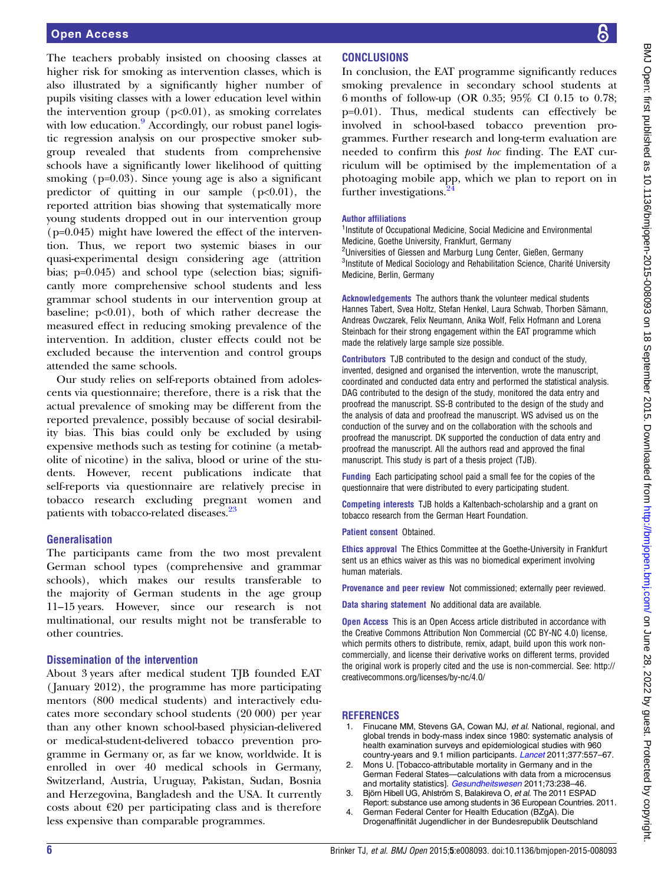<span id="page-5-0"></span>The teachers probably insisted on choosing classes at higher risk for smoking as intervention classes, which is also illustrated by a significantly higher number of pupils visiting classes with a lower education level within the intervention group  $(p<0.01)$ , as smoking correlates with low education.<sup>[9](#page-6-0)</sup> Accordingly, our robust panel logistic regression analysis on our prospective smoker subgroup revealed that students from comprehensive schools have a significantly lower likelihood of quitting smoking (p=0.03). Since young age is also a significant predictor of quitting in our sample  $(p<0.01)$ , the reported attrition bias showing that systematically more young students dropped out in our intervention group (p=0.045) might have lowered the effect of the intervention. Thus, we report two systemic biases in our quasi-experimental design considering age (attrition bias; p=0.045) and school type (selection bias; significantly more comprehensive school students and less grammar school students in our intervention group at baseline;  $p<0.01$ ), both of which rather decrease the measured effect in reducing smoking prevalence of the intervention. In addition, cluster effects could not be excluded because the intervention and control groups attended the same schools.

Our study relies on self-reports obtained from adolescents via questionnaire; therefore, there is a risk that the actual prevalence of smoking may be different from the reported prevalence, possibly because of social desirability bias. This bias could only be excluded by using expensive methods such as testing for cotinine (a metabolite of nicotine) in the saliva, blood or urine of the students. However, recent publications indicate that self-reports via questionnaire are relatively precise in tobacco research excluding pregnant women and patients with tobacco-related diseases.<sup>[23](#page-6-0)</sup>

#### Generalisation

The participants came from the two most prevalent German school types (comprehensive and grammar schools), which makes our results transferable to the majority of German students in the age group 11–15 years. However, since our research is not multinational, our results might not be transferable to other countries.

#### Dissemination of the intervention

About 3 years after medical student TJB founded EAT ( January 2012), the programme has more participating mentors (800 medical students) and interactively educates more secondary school students (20 000) per year than any other known school-based physician-delivered or medical-student-delivered tobacco prevention programme in Germany or, as far we know, worldwide. It is enrolled in over 40 medical schools in Germany, Switzerland, Austria, Uruguay, Pakistan, Sudan, Bosnia and Herzegovina, Bangladesh and the USA. It currently costs about  $\epsilon$ 20 per participating class and is therefore less expensive than comparable programmes.

## **CONCLUSIONS**

In conclusion, the EAT programme significantly reduces smoking prevalence in secondary school students at 6 months of follow-up (OR 0.35; 95% CI 0.15 to 0.78; p=0.01). Thus, medical students can effectively be involved in school-based tobacco prevention programmes. Further research and long-term evaluation are needed to confirm this post hoc finding. The EAT curriculum will be optimised by the implementation of a photoaging mobile app, which we plan to report on in further investigations.<sup>2</sup>

#### Author affiliations

<sup>1</sup>Institute of Occupational Medicine, Social Medicine and Environmental Medicine, Goethe University, Frankfurt, Germany

<sup>2</sup>Universities of Giessen and Marburg Lung Center, Gießen, Germany <sup>3</sup>Institute of Medical Sociology and Rehabilitation Science, Charité University Medicine, Berlin, Germany

Acknowledgements The authors thank the volunteer medical students Hannes Tabert, Svea Holtz, Stefan Henkel, Laura Schwab, Thorben Sämann, Andreas Owczarek, Felix Neumann, Anika Wolf, Felix Hofmann and Lorena Steinbach for their strong engagement within the EAT programme which made the relatively large sample size possible.

Contributors TJB contributed to the design and conduct of the study, invented, designed and organised the intervention, wrote the manuscript, coordinated and conducted data entry and performed the statistical analysis. DAG contributed to the design of the study, monitored the data entry and proofread the manuscript. SS-B contributed to the design of the study and the analysis of data and proofread the manuscript. WS advised us on the conduction of the survey and on the collaboration with the schools and proofread the manuscript. DK supported the conduction of data entry and proofread the manuscript. All the authors read and approved the final manuscript. This study is part of a thesis project (TJB).

Funding Each participating school paid a small fee for the copies of the questionnaire that were distributed to every participating student.

Competing interests TJB holds a Kaltenbach-scholarship and a grant on tobacco research from the German Heart Foundation.

Patient consent Obtained.

Ethics approval The Ethics Committee at the Goethe-University in Frankfurt sent us an ethics waiver as this was no biomedical experiment involving human materials.

Provenance and peer review Not commissioned; externally peer reviewed.

Data sharing statement No additional data are available.

Open Access This is an Open Access article distributed in accordance with the Creative Commons Attribution Non Commercial (CC BY-NC 4.0) license, which permits others to distribute, remix, adapt, build upon this work noncommercially, and license their derivative works on different terms, provided the original work is properly cited and the use is non-commercial. See: [http://](http://creativecommons.org/licenses/by-nc/4.0/) [creativecommons.org/licenses/by-nc/4.0/](http://creativecommons.org/licenses/by-nc/4.0/)

#### **REFERENCES**

- 1. Finucane MM, Stevens GA, Cowan MJ, et al. National, regional, and global trends in body-mass index since 1980: systematic analysis of health examination surveys and epidemiological studies with 960 country-years and 9.1 million participants. [Lancet](http://dx.doi.org/10.1016/S0140-6736(10)62037-5) 2011;377:557–67.
- 2. Mons U. [Tobacco-attributable mortality in Germany and in the German Federal States—calculations with data from a microcensus and mortality statistics]. [Gesundheitswesen](http://dx.doi.org/10.1055/s-0030-1252039) 2011;73:238–46.
- 3. Björn Hibell UG, Ahlström S, Balakireva O, et al. The 2011 ESPAD Report: substance use among students in 36 European Countries. 2011. 4. German Federal Center for Health Education (BZgA). Die
- Drogenaffinität Jugendlicher in der Bundesrepublik Deutschland